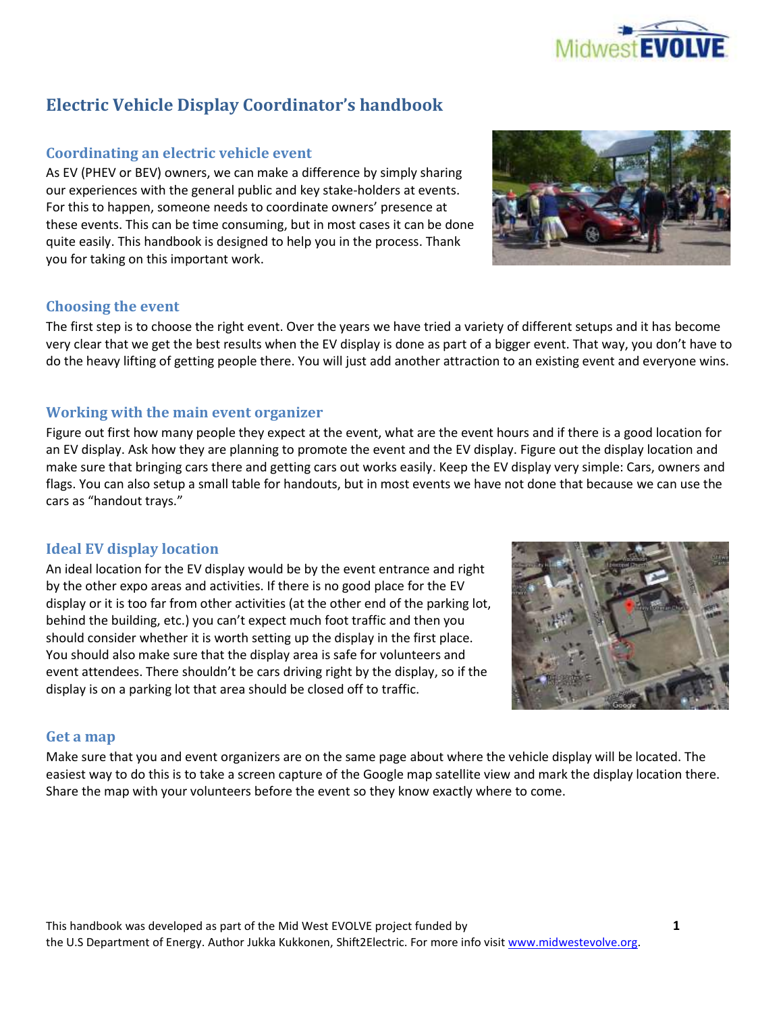

# **Electric Vehicle Display Coordinator's handbook**

# **Coordinating an electric vehicle event**

As EV (PHEV or BEV) owners, we can make a difference by simply sharing our experiences with the general public and key stake-holders at events. For this to happen, someone needs to coordinate owners' presence at these events. This can be time consuming, but in most cases it can be done quite easily. This handbook is designed to help you in the process. Thank you for taking on this important work.

### **Choosing the event**

The first step is to choose the right event. Over the years we have tried a variety of different setups and it has become very clear that we get the best results when the EV display is done as part of a bigger event. That way, you don't have to do the heavy lifting of getting people there. You will just add another attraction to an existing event and everyone wins.

# **Working with the main event organizer**

Figure out first how many people they expect at the event, what are the event hours and if there is a good location for an EV display. Ask how they are planning to promote the event and the EV display. Figure out the display location and make sure that bringing cars there and getting cars out works easily. Keep the EV display very simple: Cars, owners and flags. You can also setup a small table for handouts, but in most events we have not done that because we can use the cars as "handout trays."

### **Ideal EV display location**

An ideal location for the EV display would be by the event entrance and right by the other expo areas and activities. If there is no good place for the EV display or it is too far from other activities (at the other end of the parking lot, behind the building, etc.) you can't expect much foot traffic and then you should consider whether it is worth setting up the display in the first place. You should also make sure that the display area is safe for volunteers and event attendees. There shouldn't be cars driving right by the display, so if the display is on a parking lot that area should be closed off to traffic.



### **Get a map**

Make sure that you and event organizers are on the same page about where the vehicle display will be located. The easiest way to do this is to take a screen capture of the Google map satellite view and mark the display location there. Share the map with your volunteers before the event so they know exactly where to come.

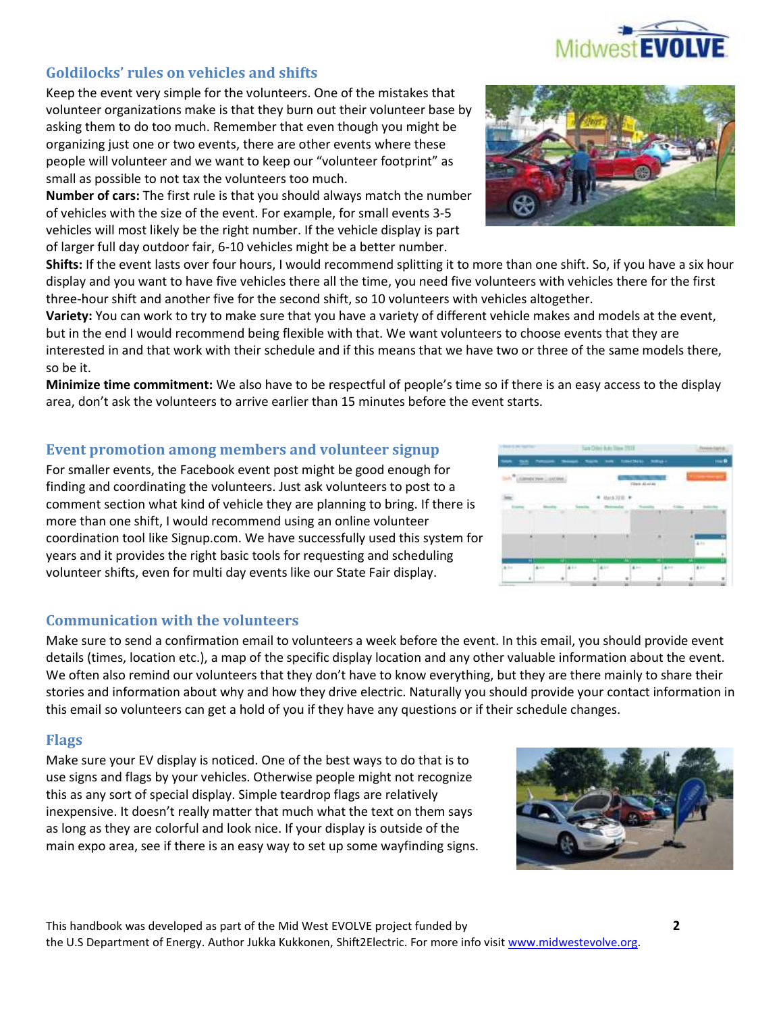

# **Goldilocks' rules on vehicles and shifts**

Keep the event very simple for the volunteers. One of the mistakes that volunteer organizations make is that they burn out their volunteer base by asking them to do too much. Remember that even though you might be organizing just one or two events, there are other events where these people will volunteer and we want to keep our "volunteer footprint" as small as possible to not tax the volunteers too much.

**Number of cars:** The first rule is that you should always match the number of vehicles with the size of the event. For example, for small events 3-5 vehicles will most likely be the right number. If the vehicle display is part of larger full day outdoor fair, 6-10 vehicles might be a better number.

**Shifts:** If the event lasts over four hours, I would recommend splitting it to more than one shift. So, if you have a six hour display and you want to have five vehicles there all the time, you need five volunteers with vehicles there for the first three-hour shift and another five for the second shift, so 10 volunteers with vehicles altogether.

**Variety:** You can work to try to make sure that you have a variety of different vehicle makes and models at the event, but in the end I would recommend being flexible with that. We want volunteers to choose events that they are interested in and that work with their schedule and if this means that we have two or three of the same models there, so be it.

**Minimize time commitment:** We also have to be respectful of people's time so if there is an easy access to the display area, don't ask the volunteers to arrive earlier than 15 minutes before the event starts.

### **Event promotion among members and volunteer signup**

For smaller events, the Facebook event post might be good enough for finding and coordinating the volunteers. Just ask volunteers to post to a comment section what kind of vehicle they are planning to bring. If there is more than one shift, I would recommend using an online volunteer coordination tool like Signup.com. We have successfully used this system for years and it provides the right basic tools for requesting and scheduling volunteer shifts, even for multi day events like our State Fair display.

### **Communication with the volunteers**

Make sure to send a confirmation email to volunteers a week before the event. In this email, you should provide event details (times, location etc.), a map of the specific display location and any other valuable information about the event. We often also remind our volunteers that they don't have to know everything, but they are there mainly to share their stories and information about why and how they drive electric. Naturally you should provide your contact information in this email so volunteers can get a hold of you if they have any questions or if their schedule changes.

### **Flags**

Make sure your EV display is noticed. One of the best ways to do that is to use signs and flags by your vehicles. Otherwise people might not recognize this as any sort of special display. Simple teardrop flags are relatively inexpensive. It doesn't really matter that much what the text on them says as long as they are colorful and look nice. If your display is outside of the main expo area, see if there is an easy way to set up some wayfinding signs.





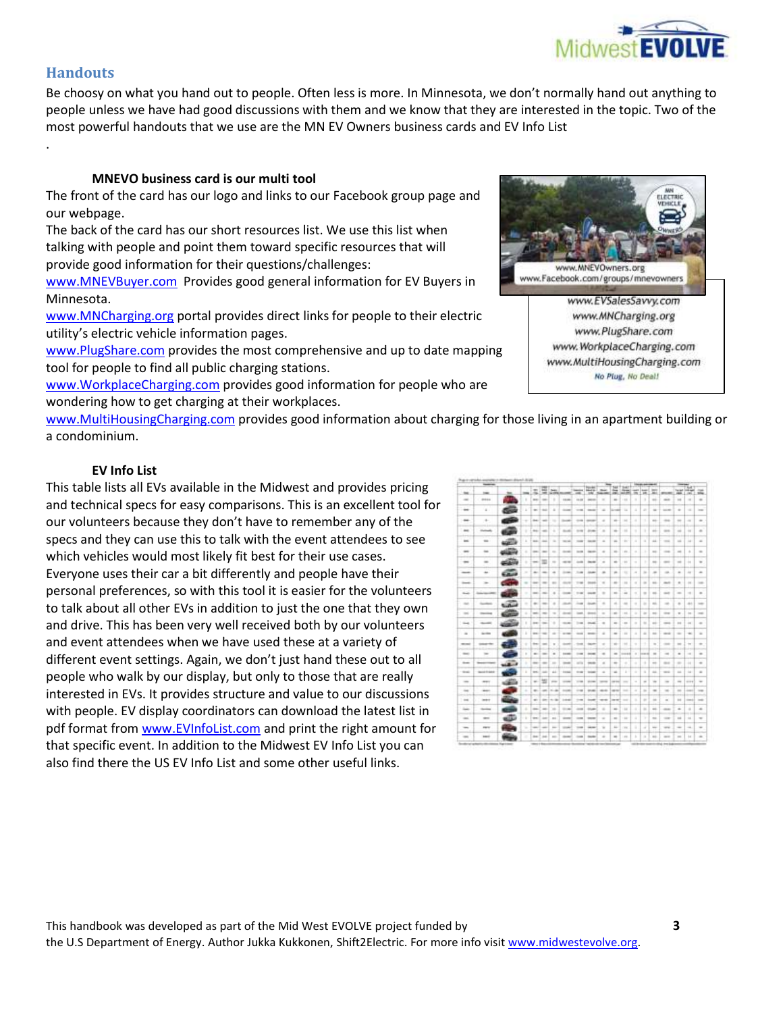

# **Handouts**

.

Be choosy on what you hand out to people. Often less is more. In Minnesota, we don't normally hand out anything to people unless we have had good discussions with them and we know that they are interested in the topic. Two of the most powerful handouts that we use are the MN EV Owners business cards and EV Info List

#### **MNEVO business card is our multi tool**

The front of the card has our logo and links to our Facebook group page and our webpage.

The back of the card has our short resources list. We use this list when talking with people and point them toward specific resources that will provide good information for their questions/challenges:

[www.MNEVBuyer.com](http://www.mnevbuyer.com/) Provides good general information for EV Buyers in Minnesota.

[www.MNCharging.org](http://www.mncharging.org/) portal provides direct links for people to their electric utility's electric vehicle information pages.

[www.PlugShare.com](http://www.plugshare.com/) provides the most comprehensive and up to date mapping tool for people to find all public charging stations.

[www.WorkplaceCharging.com](http://www.workplacecharging.com/) provides good information for people who are wondering how to get charging at their workplaces.



[www.MultiHousingCharging.com](http://www.multihousingcharging.com/) provides good information about charging for those living in an apartment building or a condominium.

#### **EV Info List**

This table lists all EVs available in the Midwest and provides pricing and technical specs for easy comparisons. This is an excellent tool for our volunteers because they don't have to remember any of the specs and they can use this to talk with the event attendees to see which vehicles would most likely fit best for their use cases. Everyone uses their car a bit differently and people have their personal preferences, so with this tool it is easier for the volunteers to talk about all other EVs in addition to just the one that they own and drive. This has been very well received both by our volunteers and event attendees when we have used these at a variety of different event settings. Again, we don't just hand these out to all people who walk by our display, but only to those that are really interested in EVs. It provides structure and value to our discussions with people. EV display coordinators can download the latest list in pdf format from [www.EVInfoList.com](http://www.evinfolist.com/) and print the right amount for that specific event. In addition to the Midwest EV Info List you can also find there the US EV Info List and some other useful links.

|                                                                                                                           | <b>Service</b>     |                  |               |                          |                |                                                                                                |                                                                                                |                                                                     |                              |                                                                                                |                                                                                                |                                                                                                |                                                                     |                      |                     |                          |                |                                                   |                |
|---------------------------------------------------------------------------------------------------------------------------|--------------------|------------------|---------------|--------------------------|----------------|------------------------------------------------------------------------------------------------|------------------------------------------------------------------------------------------------|---------------------------------------------------------------------|------------------------------|------------------------------------------------------------------------------------------------|------------------------------------------------------------------------------------------------|------------------------------------------------------------------------------------------------|---------------------------------------------------------------------|----------------------|---------------------|--------------------------|----------------|---------------------------------------------------|----------------|
| $^{36}$                                                                                                                   | $\sim$             | $^{**}$          | $\sim$        |                          |                | my Lista Law                                                                                   |                                                                                                | $-$                                                                 | <b>Toronto</b><br>and a<br>ж | <b>National</b>                                                                                | $\sim$<br>$-$                                                                                  | tell T bett<br>立面                                                                              | <b>County</b><br>m                                                  | <b>South 1</b><br>38 | <b>Service</b><br>m | <b>STORY</b>             |                | <b>Si</b><br><b>Telef Indian</b><br>$\rightarrow$ |                |
| $\sim$                                                                                                                    | <b>DEED</b>        |                  | ٠             |                          | and the        | ٠                                                                                              | <b>START</b>                                                                                   | <b>HEAR</b>                                                         | <b>SHOW:</b>                 | $\sim$                                                                                         | $\sim$                                                                                         | 188                                                                                            | ٠                                                                   | ٠                    | mi.                 | <b>HART</b>              | $-1$           | $\sim$                                            |                |
| $-$                                                                                                                       |                    |                  | ×             |                          | $-1 - 1 = 0$   |                                                                                                | <b>START</b>                                                                                   | $-1$                                                                | <b>STATE</b>                 | $\sim$                                                                                         | <b>Accept</b>                                                                                  | 14                                                                                             | ٠                                                                   |                      | $\sim$              | <b>SECRET</b>            |                | $\sim$                                            | m              |
| $-$                                                                                                                       | ÷                  |                  | ÷             |                          | deal and       | m                                                                                              | <b>Service</b>                                                                                 |                                                                     | come il statement            | $\rightarrow$                                                                                  | $\rightarrow$                                                                                  | $1 + 1$                                                                                        | $\sim$                                                              |                      | $\frac{1}{2}$       | -map                     | $\equiv$       | $\sim$                                            |                |
| $\frac{1}{2}$                                                                                                             | <b>Delivering</b>  | <b>Support</b>   | ٠             |                          | 44-1-46        | ٠                                                                                              | <b>GLASS</b>                                                                                   | $-$                                                                 | -                            | $\overline{a}$                                                                                 | $\frac{1}{2} \left( \frac{1}{2} \right) \left( \frac{1}{2} \right) \left( \frac{1}{2} \right)$ | 144                                                                                            | ٠                                                                   | ٠                    | ÷                   | $\cdots$                 | $\rightarrow$  | $\rightarrow$                                     |                |
| $\sim$                                                                                                                    | $\frac{1}{2}$      | <b>AGES</b>      | $\sim$        | <b>GALL</b>              | <b>Sellen</b>  | $\sim$                                                                                         | to all                                                                                         | man 1                                                               | <b>Service</b>               | $\sim$                                                                                         | $\frac{1}{2}$                                                                                  | 191                                                                                            | $\sim$                                                              | ٠                    | 44                  | <b>STAR</b>              | $\rightarrow$  | $\frac{1}{2}$                                     | $\sim$         |
| $\rightarrow$                                                                                                             | $\rightarrow$      |                  | ٠             |                          | $200 - 100$    | $\sim$                                                                                         | <b>SHOW:</b>                                                                                   | $m = 1$                                                             | <b>CALLES</b>                | $\equiv$                                                                                       | $\rightarrow$                                                                                  | 181                                                                                            | $\frac{1}{2} \left( \frac{1}{2} \right) \left( \frac{1}{2} \right)$ | ٠                    | m                   | $-10.00$                 | $\rightarrow$  | ٠                                                 | $\equiv$       |
|                                                                                                                           |                    | <b>FEBRUARY</b>  |               |                          |                |                                                                                                |                                                                                                |                                                                     |                              |                                                                                                |                                                                                                |                                                                                                |                                                                     |                      |                     |                          |                |                                                   |                |
| $\rightarrow$                                                                                                             | $\equiv$           | والقاعد          | ٠             | $-0.01$                  | m              | $\sim$                                                                                         | $-0.00$                                                                                        | $-0.001$                                                            | <b>CALL ON</b>               | $\sim$                                                                                         | $\rightarrow$                                                                                  | $-11$                                                                                          | $\sim$                                                              | ×                    | $\rightarrow$       | $-$                      | $\equiv$       | $\sim$                                            | $\blacksquare$ |
| $\frac{1}{2} \left( \frac{1}{2} \right) \left( \frac{1}{2} \right) \left( \frac{1}{2} \right) \left( \frac{1}{2} \right)$ | $\ddot{}$          | 62.00            | $\mathbb{R}$  | $\sim$                   | -mail          | $\rightarrow$                                                                                  | 1000                                                                                           | 3.00                                                                | 10.40                        | $\overline{a}$                                                                                 | $\rightarrow$                                                                                  | 183                                                                                            | $\frac{1}{2}$                                                       | ۰                    | $\overline{a}$      | $\rightarrow$            | $\frac{1}{2}$  | $\rightarrow$                                     |                |
| <b>County</b>                                                                                                             | Telecom            |                  | $\sim$        | <b>START</b>             | <b>STEP</b>    | $\sim$                                                                                         | counter of                                                                                     | $-144$                                                              | <b>COMMERCIAL</b>            | $\sim$                                                                                         | $\sim$                                                                                         | 144                                                                                            | $\sim$                                                              | $\rightarrow$        | $\rightarrow$       | morti-                   | $\alpha$       | $\sim$                                            | $\frac{1}{2}$  |
| <b>Shake</b>                                                                                                              | <b>DESCRIPTION</b> | a Tua            | ٠             |                          | <b>SECTION</b> | $\blacksquare$                                                                                 | 1000                                                                                           | 3.44                                                                | <b>COLOR</b>                 | $\rightarrow$                                                                                  | $\blacksquare$                                                                                 | 144                                                                                            | $\alpha$                                                            | $\sim$               | $\rightarrow$       | <b>SALE</b>              | $\sim$         | $\sim$                                            | $\blacksquare$ |
| <b>STAR</b>                                                                                                               | <b>Section</b>     | <b>Subishing</b> | $\rightarrow$ | $\leftarrow$             | $\sim$         |                                                                                                | <b>HANG</b>                                                                                    |                                                                     | Jose L. Alcoho               |                                                                                                | $\sim$                                                                                         | -44                                                                                            | $\sim$                                                              | ٠                    | $\sim$              | $\rightarrow$            | $\sim$         | $\pm$                                             | $-$            |
| $\sim$                                                                                                                    | <b>Country</b>     | <b>COLOR</b>     | ٠             | <b>SHEET</b>             | $\sim$         | $\sim$                                                                                         | <b>START</b>                                                                                   | $-$                                                                 | <b>STATE</b>                 | $\sim$                                                                                         | $\sim$                                                                                         | 188                                                                                            | ۰                                                                   | $\sim$               | $\pm$               | <b>STAR</b>              | $\sim$         | $\sim$                                            | $-$            |
| <b>Sheet</b>                                                                                                              | <b>Security</b>    | æ                | ٠             |                          | $341 - 24$     | ٠                                                                                              | <b>START</b>                                                                                   |                                                                     | $144.1$ $24.46$              | $\equiv$                                                                                       | $\frac{1}{2}$                                                                                  | 1.41                                                                                           | $\sim$                                                              | ۰                    | $=$                 | case.                    | $\equiv$       | $\rightarrow$                                     | $\overline{a}$ |
| $\frac{1}{2}$                                                                                                             | Act (b)            |                  | ٠             |                          | $98 - 16$      | $\frac{1}{2}$                                                                                  | wom !                                                                                          | $-$                                                                 | <b>SHARE</b>                 | $\frac{1}{2}$                                                                                  | $\sim$                                                                                         | 14                                                                                             | $\alpha$                                                            | $\overline{a}$       | $\rightarrow$       | <b>SELE</b>              | $\equiv$       | $\sim$                                            |                |
| month.                                                                                                                    | <b>SHAPPER</b>     |                  | ٠             |                          | they if your   | $\alpha$                                                                                       | month.                                                                                         | -                                                                   | department                   | $\sim$                                                                                         | $\rightarrow$                                                                                  | $+44$                                                                                          | $\alpha$                                                            | ÷                    | $\sim$              | $\cdots$                 | $\equiv$       | $\sim$                                            |                |
| <b>Senior</b>                                                                                                             | $\sim$             |                  | ×             | $\sim$                   | <b>SHOP</b>    | $\sim$                                                                                         | <b>START</b>                                                                                   | 1000                                                                | <b>START</b>                 | $\rightarrow$                                                                                  | $\sim$                                                                                         | <b>SEERS</b>                                                                                   | $\sim$                                                              | boxe ed              | $\sim$              | $-1$                     | $\blacksquare$ | $\sim$                                            |                |
| <b>Shown</b>                                                                                                              | <b>September</b>   | <b>MAGAZINE</b>  | ٠             | district                 | $-$            | $\sim$                                                                                         | $\frac{1}{2} \left( \frac{1}{2} \right) \left( \frac{1}{2} \right) \left( \frac{1}{2} \right)$ | $\frac{1}{2} \left( \frac{1}{2} \right) \left( \frac{1}{2} \right)$ | $rac{1}{2}$                  | $\overline{a}$                                                                                 | $\frac{1}{2}$                                                                                  | ٠                                                                                              | ۰                                                                   | ٠                    | $\rightarrow$       | -mail                    | $\rightarrow$  | $\rightarrow$                                     | ٠              |
| <b>SHARE</b>                                                                                                              | 18041144           |                  | ٠             | <b>SER</b>               | $\rightarrow$  | <b>ALC</b>                                                                                     | 1154                                                                                           | 11.140                                                              | <b>TOWER</b>                 | $\sim$                                                                                         | $\rightarrow$                                                                                  | ٠                                                                                              | ٠                                                                   | ٠                    | $^{16}$             | <b>SEA</b>               | $\sim$         | $\sim$                                            | ٠              |
| $\blacksquare$                                                                                                            | <b>WELL</b>        | œ<br>فتنطف       | $\alpha$      | $\overline{\phantom{a}}$ | 쎀              | stress.                                                                                        | $\frac{1}{2} \left( \frac{1}{2} \right) \left( \frac{1}{2} \right) \left( \frac{1}{2} \right)$ | $-1$                                                                | 10000                        | $\frac{1}{2} \left( \frac{1}{2} \right) \left( \frac{1}{2} \right) \left( \frac{1}{2} \right)$ | <b>CAR CHECK</b>                                                                               | $\frac{1}{2} \left( \frac{1}{2} \right) \left( \frac{1}{2} \right) \left( \frac{1}{2} \right)$ | $\sim$                                                              | $\scriptstyle\rm m$  | $\rightarrow$       | $\overline{\phantom{a}}$ | $\frac{1}{2}$  | mm +                                              |                |
| $\sim$                                                                                                                    | sec.               | æ                | a.            |                          |                | Last Links                                                                                     | <b>START</b>                                                                                   | $-41$                                                               |                              | $2546 - 4646$                                                                                  | ages (                                                                                         | <b>Service</b>                                                                                 | $\alpha$                                                            | $\sim$               | $\equiv$            | $\rightarrow$            | $\equiv$       | <b>COLOR</b>                                      | <b>STAR</b>    |
| $-100$                                                                                                                    | <b>Internet</b>    |                  |               | $\sim$                   | $-100$         | $-100$                                                                                         | 1444                                                                                           | $-$                                                                 | $-$                          | $-$                                                                                            | <b>Contract</b>                                                                                | $\sim$                                                                                         | ٠                                                                   |                      | $\sim$              | $\sim$                   | $\cdots$       | ment of                                           | $-$            |
| $\frac{1}{2} \left( \frac{1}{2} \right) \left( \frac{1}{2} \right) \left( \frac{1}{2} \right)$                            | <b>Service</b>     |                  | ÷             | <b>COMPANY</b>           | <b>Canada</b>  | $\rightarrow$                                                                                  | <b>START</b>                                                                                   | -                                                                   |                              | ÷                                                                                              | $\frac{1}{2}$                                                                                  | 144                                                                                            | ÷                                                                   | $\sim$               | ÷                   | -man                     | $\overline{a}$ | $\frac{1}{2}$                                     |                |
| <b>COLL</b>                                                                                                               | <b>SECU</b>        | <b>KELL!</b>     | ÷             | <b>SHE</b>               | <b>Select</b>  | <b>ALC</b>                                                                                     | <b>START</b>                                                                                   | $\sim$                                                              | $\frac{1}{2}$                | $\sim$                                                                                         | $\sim$                                                                                         | $-11$                                                                                          | ٠                                                                   | ×                    | $^{+}$              | $-$                      | $\sim$         | $\sim$                                            | $\rightarrow$  |
| $-$                                                                                                                       | <b>CALLS</b>       |                  | ÷             | <b>STATE</b>             | $-$            | $\frac{1}{2} \left( \frac{1}{2} \right) \left( \frac{1}{2} \right) \left( \frac{1}{2} \right)$ | state of                                                                                       | $-$                                                                 | <b>CALLS</b>                 | $\sim$                                                                                         | $\sim$                                                                                         | 199                                                                                            | ٠                                                                   | ÷                    | in a                | $-1$                     | $\frac{1}{2}$  |                                                   |                |
| $\sim$                                                                                                                    | <b>Ballion</b>     |                  | ٠             | 100                      | <b>AM</b>      | $\sim$                                                                                         | <b>GLACIE</b>                                                                                  | $\cdots$                                                            | <b>State</b>                 | $\equiv$                                                                                       | $\blacksquare$                                                                                 | 183                                                                                            | ٠                                                                   | ٠                    | 100                 | <b>SECURITY</b>          | $\equiv$       | to:                                               |                |
|                                                                                                                           |                    |                  |               |                          |                |                                                                                                |                                                                                                |                                                                     |                              |                                                                                                |                                                                                                |                                                                                                |                                                                     |                      |                     |                          |                |                                                   |                |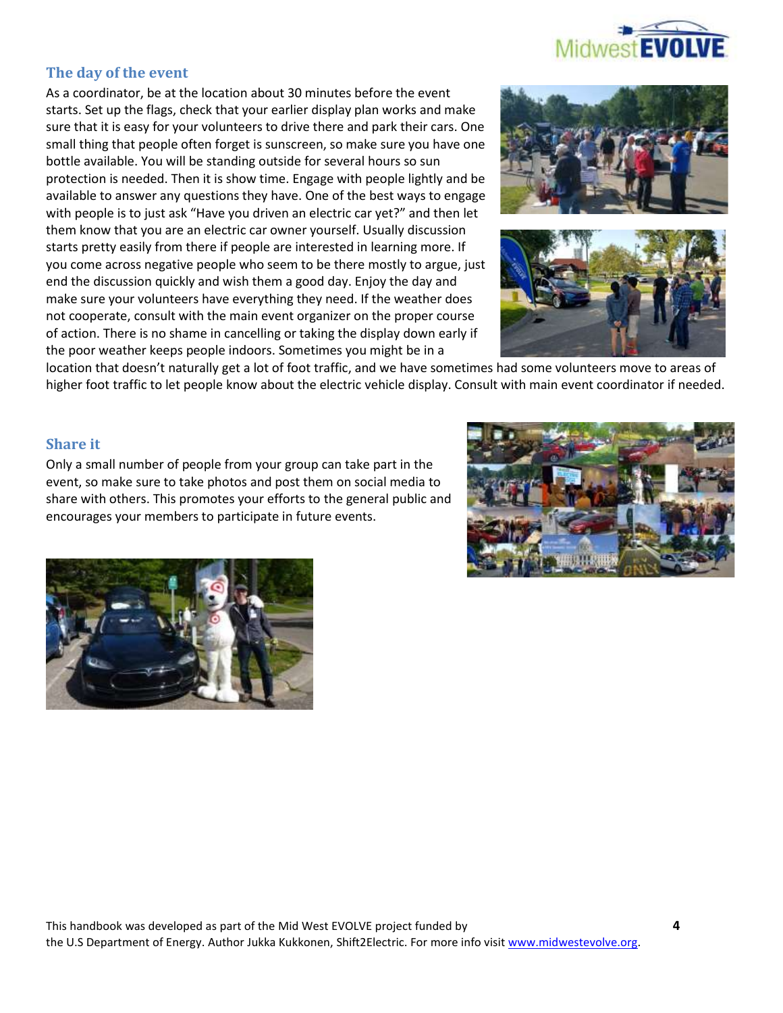

# **The day of the event**

As a coordinator, be at the location about 30 minutes before the event starts. Set up the flags, check that your earlier display plan works and make sure that it is easy for your volunteers to drive there and park their cars. One small thing that people often forget is sunscreen, so make sure you have one bottle available. You will be standing outside for several hours so sun protection is needed. Then it is show time. Engage with people lightly and be available to answer any questions they have. One of the best ways to engage with people is to just ask "Have you driven an electric car yet?" and then let them know that you are an electric car owner yourself. Usually discussion starts pretty easily from there if people are interested in learning more. If you come across negative people who seem to be there mostly to argue, just end the discussion quickly and wish them a good day. Enjoy the day and make sure your volunteers have everything they need. If the weather does not cooperate, consult with the main event organizer on the proper course of action. There is no shame in cancelling or taking the display down early if the poor weather keeps people indoors. Sometimes you might be in a





location that doesn't naturally get a lot of foot traffic, and we have sometimes had some volunteers move to areas of higher foot traffic to let people know about the electric vehicle display. Consult with main event coordinator if needed.

#### **Share it**

Only a small number of people from your group can take part in the event, so make sure to take photos and post them on social media to share with others. This promotes your efforts to the general public and encourages your members to participate in future events.